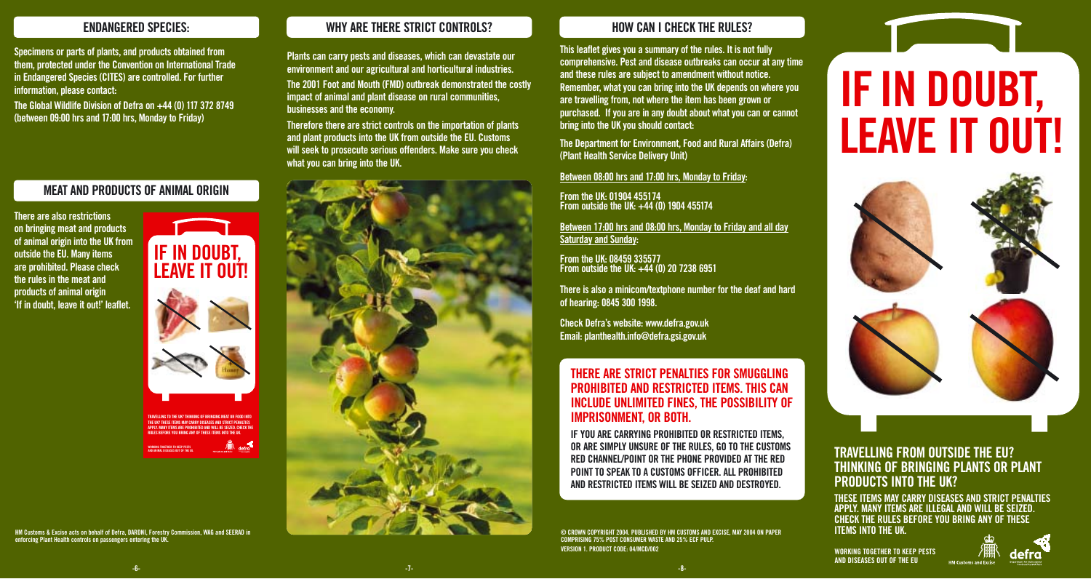### **ENDANGERED SPECIES:**

**Specimens or parts of plants, and products obtained from them, protected under the Convention on International Trade in Endangered Species (CITES) are controlled. For further information, please contact:** 

**The Global Wildlife Division of Defra on +44 (0) 117 372 8749 (between 09:00 hrs and 17:00 hrs, Monday to Friday)**

### **MEAT AND PRODUCTS OF ANIMAL ORIGIN**

**There are also restrictions on bringing meat and products of animal origin into the UK from outside the EU. Many items are prohibited. Please check the rules in the meat and products of animal origin 'If in doubt, leave it out!' leaflet.**

# **IF IN DOUBT, IF IN DOUBT, LEAVE IT OUT! LEAVE IT OUT!**



**TRAVELLING TO THE UK? THINKING OF BRINGING MEAT OR FOOD INTO THE UK? THESE ITEMS MAY CARRY DISEASES AND STRICT PENALTIES APPLY. MANY ITEMS ARE PROHIBITED AND WILL BE SEIZED. CHECK THE RULES BEFORE YOU BRING ANY OF THESE ITEMS INTO THE UK.**

**WORKING TOGETHER TO KEEP PESTS AND ANIMAL DISEASES OUT OF THE EU.**

**HM Customs & Excise acts on behalf of Defra, DARDNI, Forestry Commission, WAG and SEERAD in enforcing Plant Health controls on passengers entering the UK.**

## **WHY ARE THERE STRICT CONTROLS?**

**Plants can carry pests and diseases, which can devastate our environment and our agricultural and horticultural industries. The 2001 Foot and Mouth (FMD) outbreak demonstrated the costly impact of animal and plant disease on rural communities, businesses and the economy.** 

**Therefore there are strict controls on the importation of plants and plant products into the UK from outside the EU. Customs will seek to prosecute serious offenders. Make sure you check what you can bring into the UK.** 



### **HOW CAN I CHECK THE RULES?**

**This leaflet gives you a summary of the rules. It is not fully comprehensive. Pest and disease outbreaks can occur at any time and these rules are subject to amendment without notice. Remember, what you can bring into the UK depends on where you are travelling from, not where the item has been grown or purchased. If you are in any doubt about what you can or cannot bring into the UK you should contact:**

**The Department for Environment, Food and Rural Affairs (Defra) (Plant Health Service Delivery Unit)**

**Between 08:00 hrs and 17:00 hrs, Monday to Friday:**

**From the UK: 01904 455174 From outside the UK: +44 (0) 1904 455174**

**Between 17:00 hrs and 08:00 hrs, Monday to Friday and all day Saturday and Sunday:**

**From the UK: 08459 335577 From outside the UK: +44 (0) 20 7238 6951**

**There is also a minicom/textphone number for the deaf and hard of hearing: 0845 300 1998.**

**Check Defra's website: www.defra.gov.uk Email: planthealth.info@defra.gsi.gov.uk**

### **THERE ARE STRICT PENALTIES FOR SMUGGLING PROHIBITED AND RESTRICTED ITEMS. THIS CAN INCLUDE UNLIMITED FINES, THE POSSIBILITY OF IMPRISONMENT, OR BOTH.**

**IF YOU ARE CARRYING PROHIBITED OR RESTRICTED ITEMS, OR ARE SIMPLY UNSURE OF THE RULES, GO TO THE CUSTOMS RED CHANNEL/POINT OR THE PHONE PROVIDED AT THE RED POINT TO SPEAK TO A CUSTOMS OFFICER. ALL PROHIBITED AND RESTRICTED ITEMS WILL BE SEIZED AND DESTROYED.** 

#### **© CROWN COPYRIGHT 2004. PUBLISHED BY HM CUSTOMS AND EXCISE, MAY 2004 ON PAPER COMPRISING 75% POST CONSUMER WASTE AND 25% ECF PULP. VERSION 1. PRODUCT CODE: 04/MCD/002**

# **IF IN DOUBT, IF IN DOUBT, LEAVE IT OUT! LEAVE IT OUT!**



## **TRAVELLING FROM OUTSIDE THE EU? THINKING OF BRINGING PLANTS OR PLANT PRODUCTS INTO THE UK?**

**THESE ITEMS MAY CARRY DISEASES AND STRICT PENALTIES APPLY. MANY ITEMS ARE ILLEGAL AND WILL BE SEIZED. CHECK THE RULES BEFORE YOU BRING ANY OF THESE ITEMS INTO THE UK.** 

**WORKING TOGETHER TO KEEP PESTS AND DISEASES OUT OF THE EU**